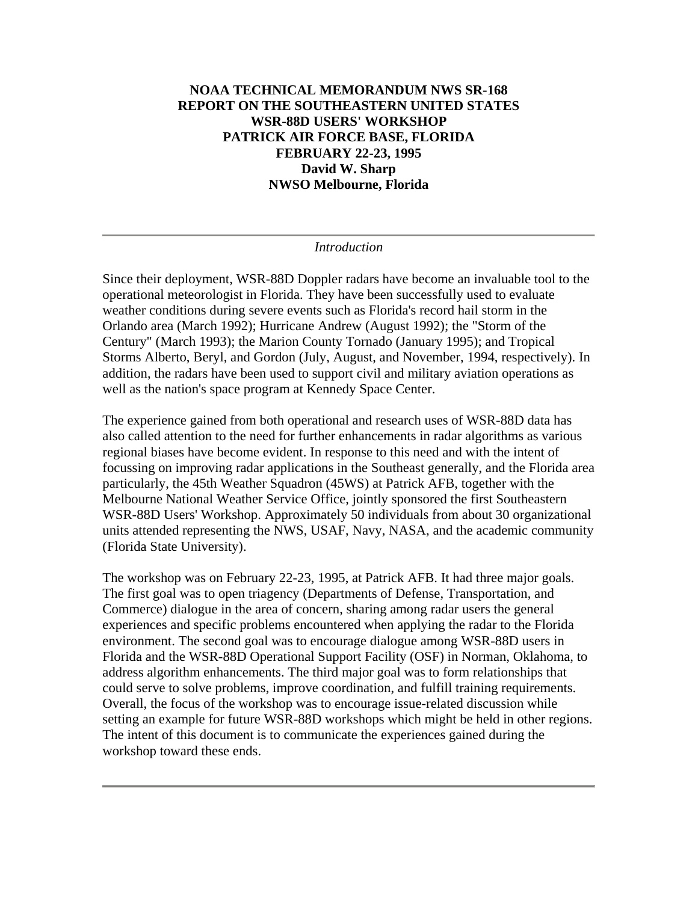### **NOAA TECHNICAL MEMORANDUM NWS SR-168 REPORT ON THE SOUTHEASTERN UNITED STATES WSR-88D USERS' WORKSHOP PATRICK AIR FORCE BASE, FLORIDA FEBRUARY 22-23, 1995 David W. Sharp NWSO Melbourne, Florida**

#### *Introduction*

Since their deployment, WSR-88D Doppler radars have become an invaluable tool to the operational meteorologist in Florida. They have been successfully used to evaluate weather conditions during severe events such as Florida's record hail storm in the Orlando area (March 1992); Hurricane Andrew (August 1992); the "Storm of the Century" (March 1993); the Marion County Tornado (January 1995); and Tropical Storms Alberto, Beryl, and Gordon (July, August, and November, 1994, respectively). In addition, the radars have been used to support civil and military aviation operations as well as the nation's space program at Kennedy Space Center.

The experience gained from both operational and research uses of WSR-88D data has also called attention to the need for further enhancements in radar algorithms as various regional biases have become evident. In response to this need and with the intent of focussing on improving radar applications in the Southeast generally, and the Florida area particularly, the 45th Weather Squadron (45WS) at Patrick AFB, together with the Melbourne National Weather Service Office, jointly sponsored the first Southeastern WSR-88D Users' Workshop. Approximately 50 individuals from about 30 organizational units attended representing the NWS, USAF, Navy, NASA, and the academic community (Florida State University).

The workshop was on February 22-23, 1995, at Patrick AFB. It had three major goals. The first goal was to open triagency (Departments of Defense, Transportation, and Commerce) dialogue in the area of concern, sharing among radar users the general experiences and specific problems encountered when applying the radar to the Florida environment. The second goal was to encourage dialogue among WSR-88D users in Florida and the WSR-88D Operational Support Facility (OSF) in Norman, Oklahoma, to address algorithm enhancements. The third major goal was to form relationships that could serve to solve problems, improve coordination, and fulfill training requirements. Overall, the focus of the workshop was to encourage issue-related discussion while setting an example for future WSR-88D workshops which might be held in other regions. The intent of this document is to communicate the experiences gained during the workshop toward these ends.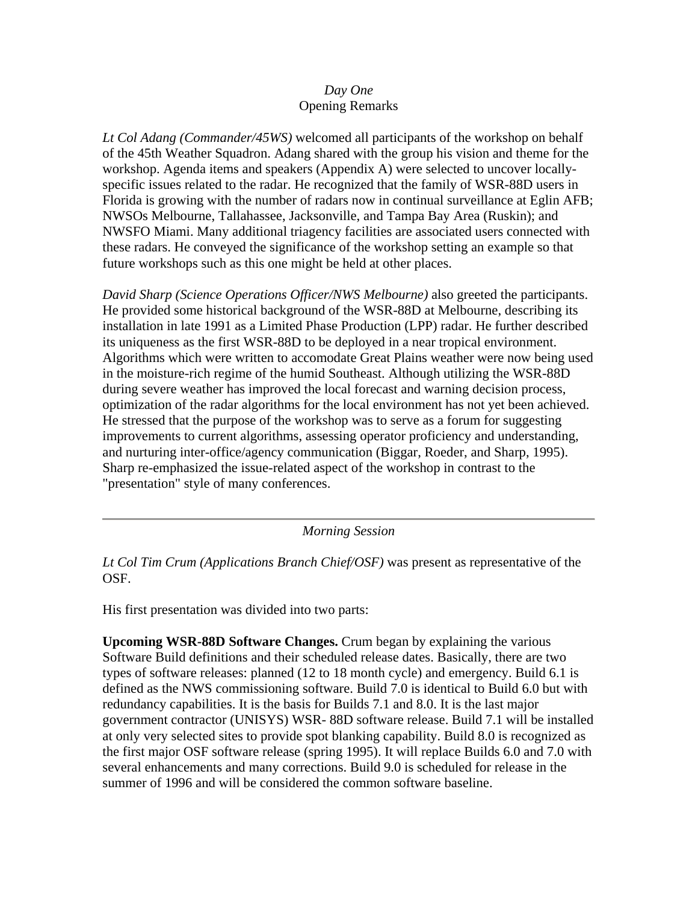#### *Day One* Opening Remarks

*Lt Col Adang (Commander/45WS)* welcomed all participants of the workshop on behalf of the 45th Weather Squadron. Adang shared with the group his vision and theme for the workshop. Agenda items and speakers (Appendix A) were selected to uncover locallyspecific issues related to the radar. He recognized that the family of WSR-88D users in Florida is growing with the number of radars now in continual surveillance at Eglin AFB; NWSOs Melbourne, Tallahassee, Jacksonville, and Tampa Bay Area (Ruskin); and NWSFO Miami. Many additional triagency facilities are associated users connected with these radars. He conveyed the significance of the workshop setting an example so that future workshops such as this one might be held at other places.

*David Sharp (Science Operations Officer/NWS Melbourne)* also greeted the participants. He provided some historical background of the WSR-88D at Melbourne, describing its installation in late 1991 as a Limited Phase Production (LPP) radar. He further described its uniqueness as the first WSR-88D to be deployed in a near tropical environment. Algorithms which were written to accomodate Great Plains weather were now being used in the moisture-rich regime of the humid Southeast. Although utilizing the WSR-88D during severe weather has improved the local forecast and warning decision process, optimization of the radar algorithms for the local environment has not yet been achieved. He stressed that the purpose of the workshop was to serve as a forum for suggesting improvements to current algorithms, assessing operator proficiency and understanding, and nurturing inter-office/agency communication (Biggar, Roeder, and Sharp, 1995). Sharp re-emphasized the issue-related aspect of the workshop in contrast to the "presentation" style of many conferences.

*Morning Session*

*Lt Col Tim Crum (Applications Branch Chief/OSF)* was present as representative of the OSF.

His first presentation was divided into two parts:

**Upcoming WSR-88D Software Changes.** Crum began by explaining the various Software Build definitions and their scheduled release dates. Basically, there are two types of software releases: planned (12 to 18 month cycle) and emergency. Build 6.1 is defined as the NWS commissioning software. Build 7.0 is identical to Build 6.0 but with redundancy capabilities. It is the basis for Builds 7.1 and 8.0. It is the last major government contractor (UNISYS) WSR- 88D software release. Build 7.1 will be installed at only very selected sites to provide spot blanking capability. Build 8.0 is recognized as the first major OSF software release (spring 1995). It will replace Builds 6.0 and 7.0 with several enhancements and many corrections. Build 9.0 is scheduled for release in the summer of 1996 and will be considered the common software baseline.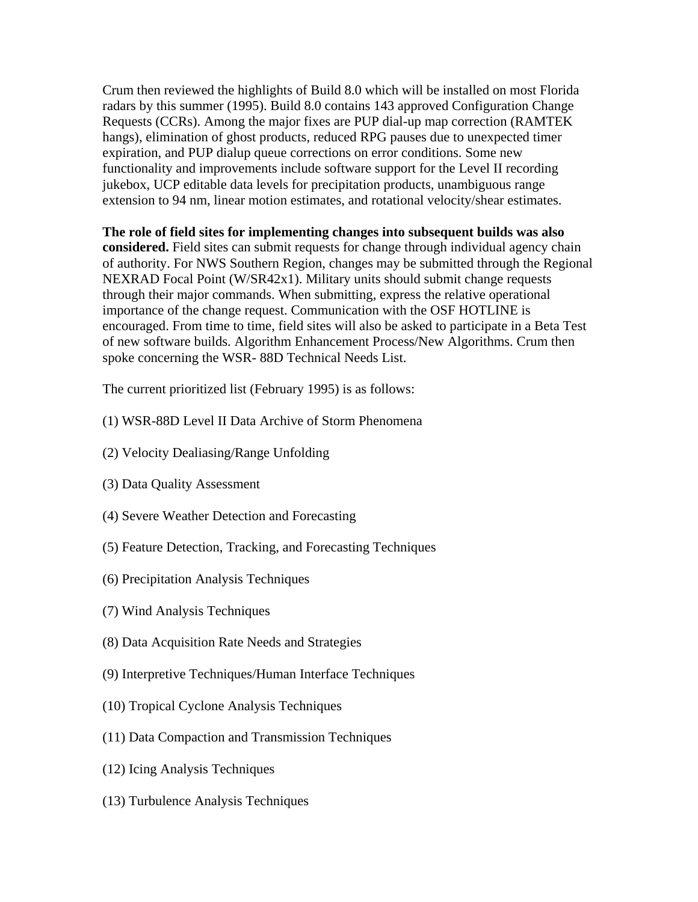Crum then reviewed the highlights of Build 8.0 which will be installed on most Florida radars by this summer (1995). Build 8.0 contains 143 approved Configuration Change Requests (CCRs). Among the major fixes are PUP dial-up map correction (RAMTEK hangs), elimination of ghost products, reduced RPG pauses due to unexpected timer expiration, and PUP dialup queue corrections on error conditions. Some new functionality and improvements include software support for the Level II recording jukebox, UCP editable data levels for precipitation products, unambiguous range extension to 94 nm, linear motion estimates, and rotational velocity/shear estimates.

**The role of field sites for implementing changes into subsequent builds was also considered.** Field sites can submit requests for change through individual agency chain of authority. For NWS Southern Region, changes may be submitted through the Regional NEXRAD Focal Point (W/SR42x1). Military units should submit change requests through their major commands. When submitting, express the relative operational importance of the change request. Communication with the OSF HOTLINE is encouraged. From time to time, field sites will also be asked to participate in a Beta Test of new software builds. Algorithm Enhancement Process/New Algorithms. Crum then spoke concerning the WSR- 88D Technical Needs List.

The current prioritized list (February 1995) is as follows:

- (1) WSR-88D Level II Data Archive of Storm Phenomena
- (2) Velocity Dealiasing/Range Unfolding
- (3) Data Quality Assessment
- (4) Severe Weather Detection and Forecasting
- (5) Feature Detection, Tracking, and Forecasting Techniques
- (6) Precipitation Analysis Techniques
- (7) Wind Analysis Techniques
- (8) Data Acquisition Rate Needs and Strategies
- (9) Interpretive Techniques/Human Interface Techniques
- (10) Tropical Cyclone Analysis Techniques
- (11) Data Compaction and Transmission Techniques
- (12) Icing Analysis Techniques
- (13) Turbulence Analysis Techniques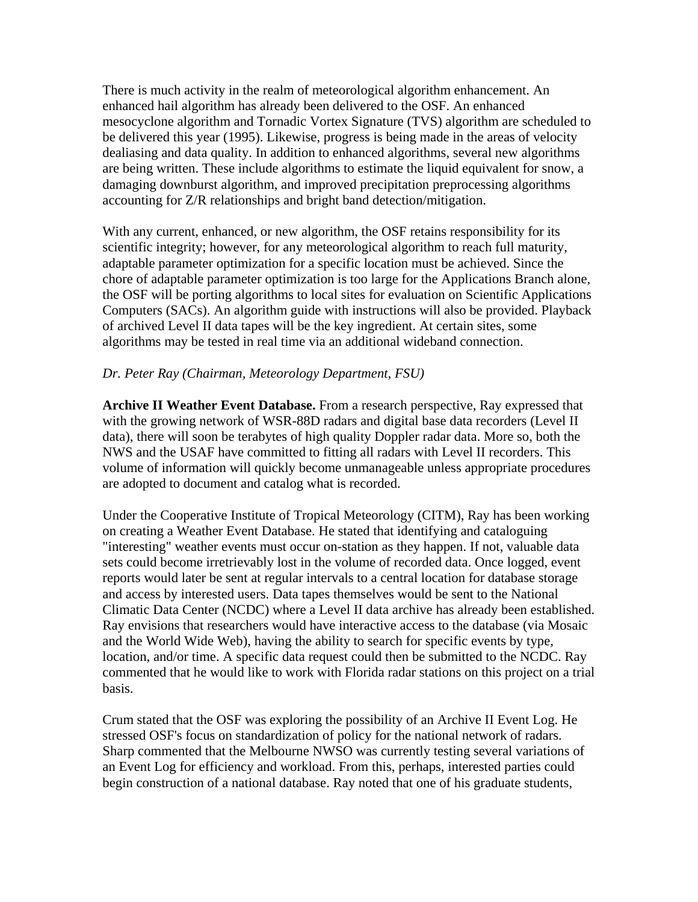There is much activity in the realm of meteorological algorithm enhancement. An enhanced hail algorithm has already been delivered to the OSF. An enhanced mesocyclone algorithm and Tornadic Vortex Signature (TVS) algorithm are scheduled to be delivered this year (1995). Likewise, progress is being made in the areas of velocity dealiasing and data quality. In addition to enhanced algorithms, several new algorithms are being written. These include algorithms to estimate the liquid equivalent for snow, a damaging downburst algorithm, and improved precipitation preprocessing algorithms accounting for Z/R relationships and bright band detection/mitigation.

With any current, enhanced, or new algorithm, the OSF retains responsibility for its scientific integrity; however, for any meteorological algorithm to reach full maturity, adaptable parameter optimization for a specific location must be achieved. Since the chore of adaptable parameter optimization is too large for the Applications Branch alone, the OSF will be porting algorithms to local sites for evaluation on Scientific Applications Computers (SACs). An algorithm guide with instructions will also be provided. Playback of archived Level II data tapes will be the key ingredient. At certain sites, some algorithms may be tested in real time via an additional wideband connection.

### *Dr. Peter Ray (Chairman, Meteorology Department, FSU)*

**Archive II Weather Event Database.** From a research perspective, Ray expressed that with the growing network of WSR-88D radars and digital base data recorders (Level II data), there will soon be terabytes of high quality Doppler radar data. More so, both the NWS and the USAF have committed to fitting all radars with Level II recorders. This volume of information will quickly become unmanageable unless appropriate procedures are adopted to document and catalog what is recorded.

Under the Cooperative Institute of Tropical Meteorology (CITM), Ray has been working on creating a Weather Event Database. He stated that identifying and cataloguing "interesting" weather events must occur on-station as they happen. If not, valuable data sets could become irretrievably lost in the volume of recorded data. Once logged, event reports would later be sent at regular intervals to a central location for database storage and access by interested users. Data tapes themselves would be sent to the National Climatic Data Center (NCDC) where a Level II data archive has already been established. Ray envisions that researchers would have interactive access to the database (via Mosaic and the World Wide Web), having the ability to search for specific events by type, location, and/or time. A specific data request could then be submitted to the NCDC. Ray commented that he would like to work with Florida radar stations on this project on a trial basis.

Crum stated that the OSF was exploring the possibility of an Archive II Event Log. He stressed OSF's focus on standardization of policy for the national network of radars. Sharp commented that the Melbourne NWSO was currently testing several variations of an Event Log for efficiency and workload. From this, perhaps, interested parties could begin construction of a national database. Ray noted that one of his graduate students,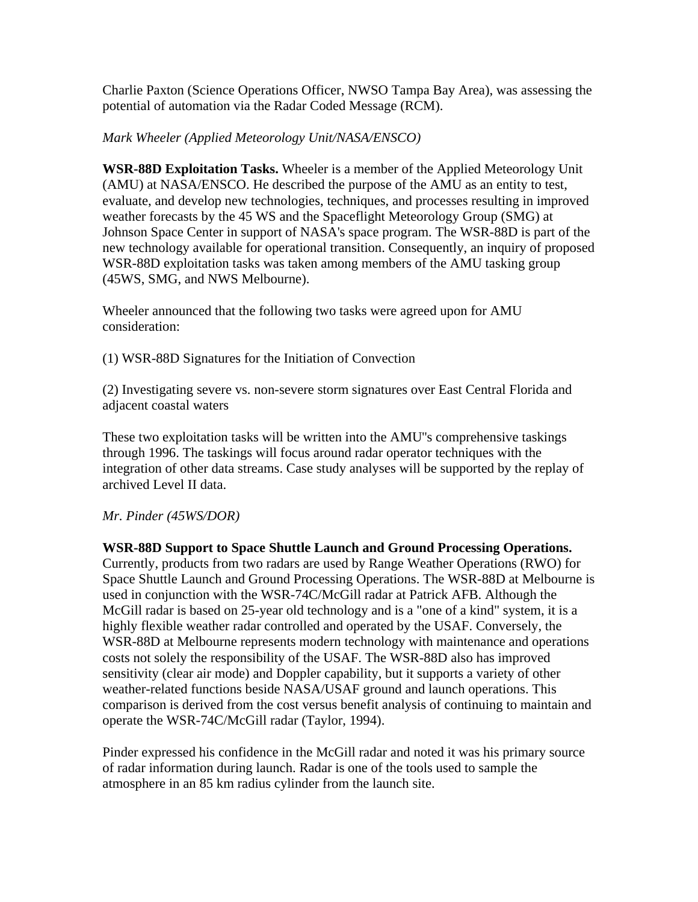Charlie Paxton (Science Operations Officer, NWSO Tampa Bay Area), was assessing the potential of automation via the Radar Coded Message (RCM).

### *Mark Wheeler (Applied Meteorology Unit/NASA/ENSCO)*

**WSR-88D Exploitation Tasks.** Wheeler is a member of the Applied Meteorology Unit (AMU) at NASA/ENSCO. He described the purpose of the AMU as an entity to test, evaluate, and develop new technologies, techniques, and processes resulting in improved weather forecasts by the 45 WS and the Spaceflight Meteorology Group (SMG) at Johnson Space Center in support of NASA's space program. The WSR-88D is part of the new technology available for operational transition. Consequently, an inquiry of proposed WSR-88D exploitation tasks was taken among members of the AMU tasking group (45WS, SMG, and NWS Melbourne).

Wheeler announced that the following two tasks were agreed upon for AMU consideration:

(1) WSR-88D Signatures for the Initiation of Convection

(2) Investigating severe vs. non-severe storm signatures over East Central Florida and adjacent coastal waters

These two exploitation tasks will be written into the AMU''s comprehensive taskings through 1996. The taskings will focus around radar operator techniques with the integration of other data streams. Case study analyses will be supported by the replay of archived Level II data.

#### *Mr. Pinder (45WS/DOR)*

**WSR-88D Support to Space Shuttle Launch and Ground Processing Operations.** Currently, products from two radars are used by Range Weather Operations (RWO) for Space Shuttle Launch and Ground Processing Operations. The WSR-88D at Melbourne is used in conjunction with the WSR-74C/McGill radar at Patrick AFB. Although the McGill radar is based on 25-year old technology and is a "one of a kind" system, it is a highly flexible weather radar controlled and operated by the USAF. Conversely, the WSR-88D at Melbourne represents modern technology with maintenance and operations costs not solely the responsibility of the USAF. The WSR-88D also has improved sensitivity (clear air mode) and Doppler capability, but it supports a variety of other weather-related functions beside NASA/USAF ground and launch operations. This comparison is derived from the cost versus benefit analysis of continuing to maintain and operate the WSR-74C/McGill radar (Taylor, 1994).

Pinder expressed his confidence in the McGill radar and noted it was his primary source of radar information during launch. Radar is one of the tools used to sample the atmosphere in an 85 km radius cylinder from the launch site.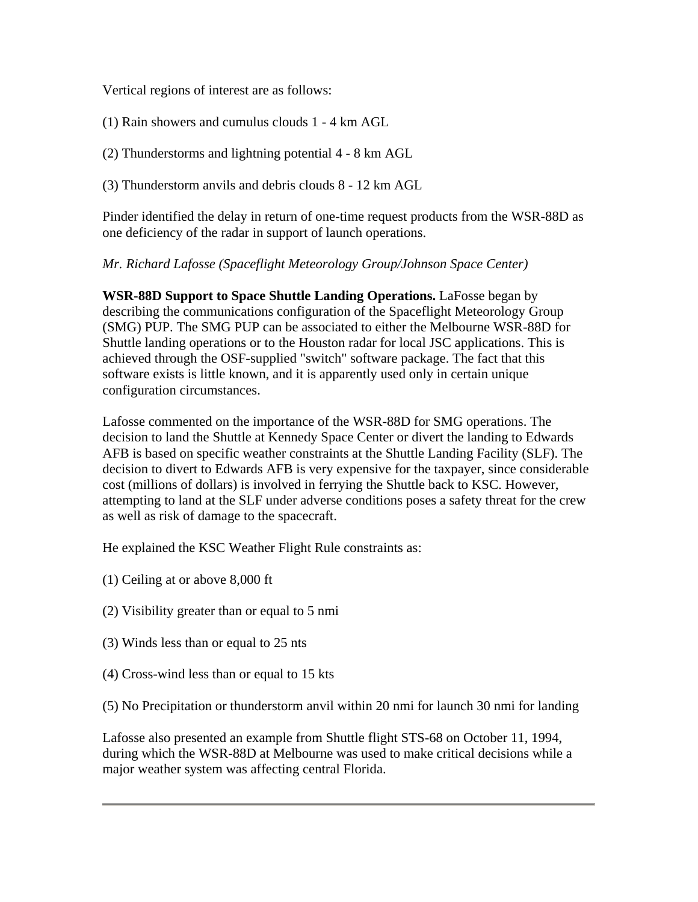Vertical regions of interest are as follows:

(1) Rain showers and cumulus clouds 1 - 4 km AGL

(2) Thunderstorms and lightning potential 4 - 8 km AGL

(3) Thunderstorm anvils and debris clouds 8 - 12 km AGL

Pinder identified the delay in return of one-time request products from the WSR-88D as one deficiency of the radar in support of launch operations.

#### *Mr. Richard Lafosse (Spaceflight Meteorology Group/Johnson Space Center)*

**WSR-88D Support to Space Shuttle Landing Operations.** LaFosse began by describing the communications configuration of the Spaceflight Meteorology Group (SMG) PUP. The SMG PUP can be associated to either the Melbourne WSR-88D for Shuttle landing operations or to the Houston radar for local JSC applications. This is achieved through the OSF-supplied "switch" software package. The fact that this software exists is little known, and it is apparently used only in certain unique configuration circumstances.

Lafosse commented on the importance of the WSR-88D for SMG operations. The decision to land the Shuttle at Kennedy Space Center or divert the landing to Edwards AFB is based on specific weather constraints at the Shuttle Landing Facility (SLF). The decision to divert to Edwards AFB is very expensive for the taxpayer, since considerable cost (millions of dollars) is involved in ferrying the Shuttle back to KSC. However, attempting to land at the SLF under adverse conditions poses a safety threat for the crew as well as risk of damage to the spacecraft.

He explained the KSC Weather Flight Rule constraints as:

- (1) Ceiling at or above 8,000 ft
- (2) Visibility greater than or equal to 5 nmi
- (3) Winds less than or equal to 25 nts
- (4) Cross-wind less than or equal to 15 kts

(5) No Precipitation or thunderstorm anvil within 20 nmi for launch 30 nmi for landing

Lafosse also presented an example from Shuttle flight STS-68 on October 11, 1994, during which the WSR-88D at Melbourne was used to make critical decisions while a major weather system was affecting central Florida.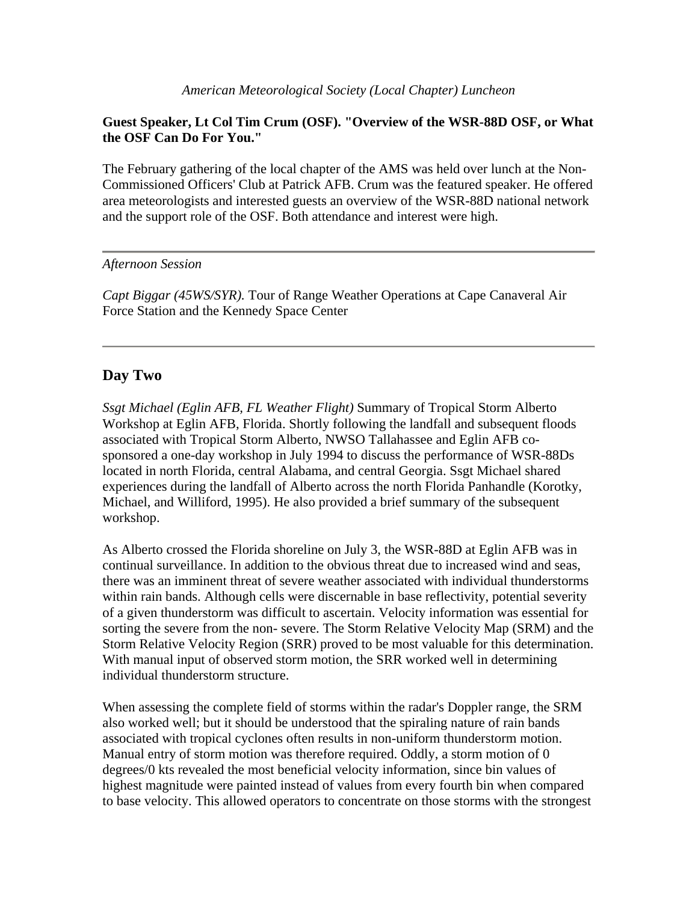### **Guest Speaker, Lt Col Tim Crum (OSF). "Overview of the WSR-88D OSF, or What the OSF Can Do For You."**

The February gathering of the local chapter of the AMS was held over lunch at the Non-Commissioned Officers' Club at Patrick AFB. Crum was the featured speaker. He offered area meteorologists and interested guests an overview of the WSR-88D national network and the support role of the OSF. Both attendance and interest were high.

### *Afternoon Session*

*Capt Biggar (45WS/SYR).* Tour of Range Weather Operations at Cape Canaveral Air Force Station and the Kennedy Space Center

### **Day Two**

*Ssgt Michael (Eglin AFB, FL Weather Flight)* Summary of Tropical Storm Alberto Workshop at Eglin AFB, Florida. Shortly following the landfall and subsequent floods associated with Tropical Storm Alberto, NWSO Tallahassee and Eglin AFB cosponsored a one-day workshop in July 1994 to discuss the performance of WSR-88Ds located in north Florida, central Alabama, and central Georgia. Ssgt Michael shared experiences during the landfall of Alberto across the north Florida Panhandle (Korotky, Michael, and Williford, 1995). He also provided a brief summary of the subsequent workshop.

As Alberto crossed the Florida shoreline on July 3, the WSR-88D at Eglin AFB was in continual surveillance. In addition to the obvious threat due to increased wind and seas, there was an imminent threat of severe weather associated with individual thunderstorms within rain bands. Although cells were discernable in base reflectivity, potential severity of a given thunderstorm was difficult to ascertain. Velocity information was essential for sorting the severe from the non- severe. The Storm Relative Velocity Map (SRM) and the Storm Relative Velocity Region (SRR) proved to be most valuable for this determination. With manual input of observed storm motion, the SRR worked well in determining individual thunderstorm structure.

When assessing the complete field of storms within the radar's Doppler range, the SRM also worked well; but it should be understood that the spiraling nature of rain bands associated with tropical cyclones often results in non-uniform thunderstorm motion. Manual entry of storm motion was therefore required. Oddly, a storm motion of 0 degrees/0 kts revealed the most beneficial velocity information, since bin values of highest magnitude were painted instead of values from every fourth bin when compared to base velocity. This allowed operators to concentrate on those storms with the strongest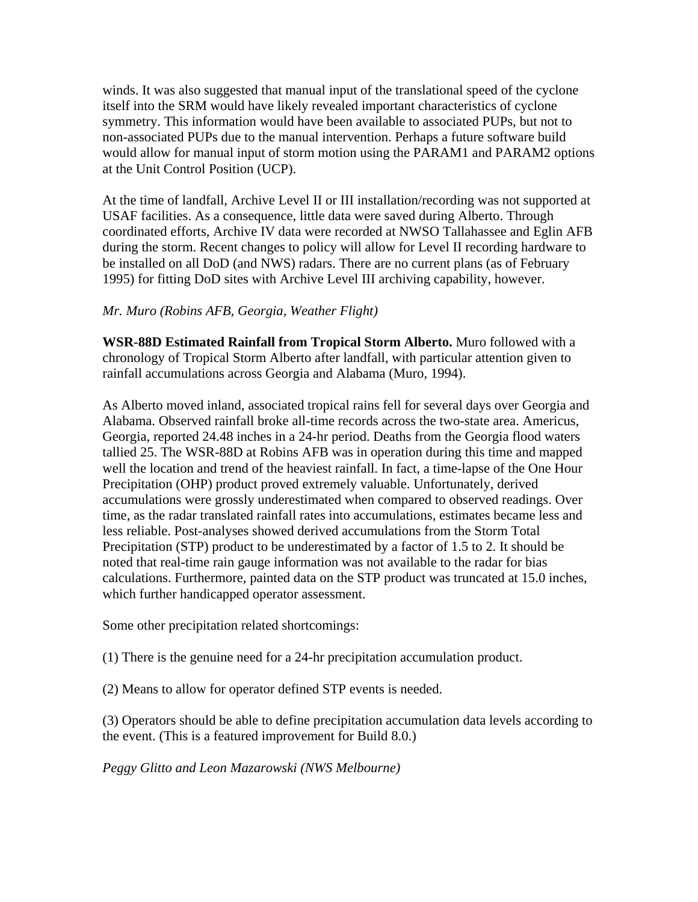winds. It was also suggested that manual input of the translational speed of the cyclone itself into the SRM would have likely revealed important characteristics of cyclone symmetry. This information would have been available to associated PUPs, but not to non-associated PUPs due to the manual intervention. Perhaps a future software build would allow for manual input of storm motion using the PARAM1 and PARAM2 options at the Unit Control Position (UCP).

At the time of landfall, Archive Level II or III installation/recording was not supported at USAF facilities. As a consequence, little data were saved during Alberto. Through coordinated efforts, Archive IV data were recorded at NWSO Tallahassee and Eglin AFB during the storm. Recent changes to policy will allow for Level II recording hardware to be installed on all DoD (and NWS) radars. There are no current plans (as of February 1995) for fitting DoD sites with Archive Level III archiving capability, however.

### *Mr. Muro (Robins AFB, Georgia, Weather Flight)*

**WSR-88D Estimated Rainfall from Tropical Storm Alberto.** Muro followed with a chronology of Tropical Storm Alberto after landfall, with particular attention given to rainfall accumulations across Georgia and Alabama (Muro, 1994).

As Alberto moved inland, associated tropical rains fell for several days over Georgia and Alabama. Observed rainfall broke all-time records across the two-state area. Americus, Georgia, reported 24.48 inches in a 24-hr period. Deaths from the Georgia flood waters tallied 25. The WSR-88D at Robins AFB was in operation during this time and mapped well the location and trend of the heaviest rainfall. In fact, a time-lapse of the One Hour Precipitation (OHP) product proved extremely valuable. Unfortunately, derived accumulations were grossly underestimated when compared to observed readings. Over time, as the radar translated rainfall rates into accumulations, estimates became less and less reliable. Post-analyses showed derived accumulations from the Storm Total Precipitation (STP) product to be underestimated by a factor of 1.5 to 2. It should be noted that real-time rain gauge information was not available to the radar for bias calculations. Furthermore, painted data on the STP product was truncated at 15.0 inches, which further handicapped operator assessment.

Some other precipitation related shortcomings:

(1) There is the genuine need for a 24-hr precipitation accumulation product.

(2) Means to allow for operator defined STP events is needed.

(3) Operators should be able to define precipitation accumulation data levels according to the event. (This is a featured improvement for Build 8.0.)

*Peggy Glitto and Leon Mazarowski (NWS Melbourne)*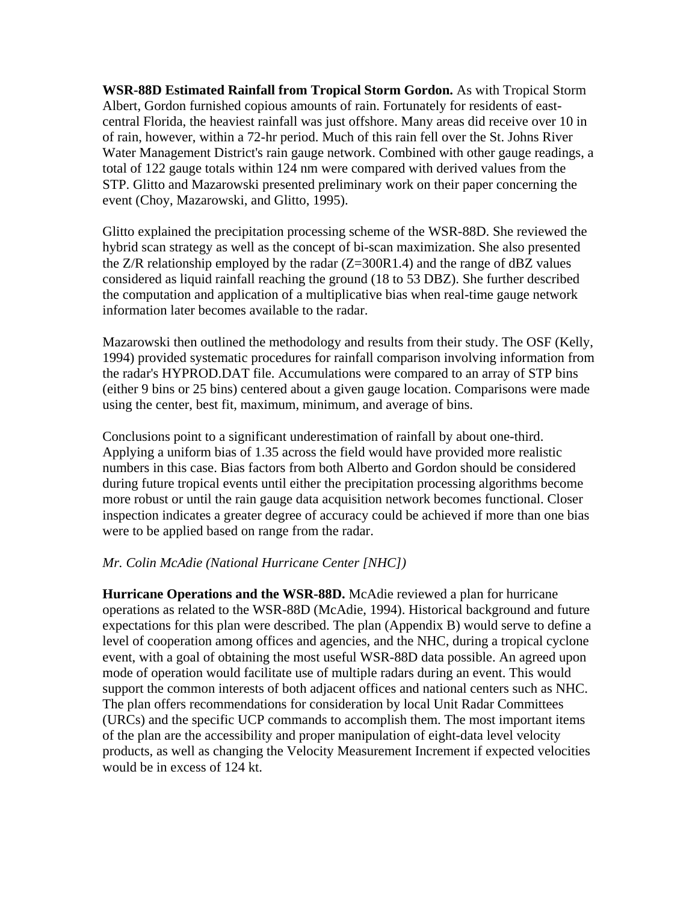**WSR-88D Estimated Rainfall from Tropical Storm Gordon.** As with Tropical Storm Albert, Gordon furnished copious amounts of rain. Fortunately for residents of eastcentral Florida, the heaviest rainfall was just offshore. Many areas did receive over 10 in of rain, however, within a 72-hr period. Much of this rain fell over the St. Johns River Water Management District's rain gauge network. Combined with other gauge readings, a total of 122 gauge totals within 124 nm were compared with derived values from the STP. Glitto and Mazarowski presented preliminary work on their paper concerning the event (Choy, Mazarowski, and Glitto, 1995).

Glitto explained the precipitation processing scheme of the WSR-88D. She reviewed the hybrid scan strategy as well as the concept of bi-scan maximization. She also presented the  $Z/R$  relationship employed by the radar  $(Z=300R1.4)$  and the range of dBZ values considered as liquid rainfall reaching the ground (18 to 53 DBZ). She further described the computation and application of a multiplicative bias when real-time gauge network information later becomes available to the radar.

Mazarowski then outlined the methodology and results from their study. The OSF (Kelly, 1994) provided systematic procedures for rainfall comparison involving information from the radar's HYPROD.DAT file. Accumulations were compared to an array of STP bins (either 9 bins or 25 bins) centered about a given gauge location. Comparisons were made using the center, best fit, maximum, minimum, and average of bins.

Conclusions point to a significant underestimation of rainfall by about one-third. Applying a uniform bias of 1.35 across the field would have provided more realistic numbers in this case. Bias factors from both Alberto and Gordon should be considered during future tropical events until either the precipitation processing algorithms become more robust or until the rain gauge data acquisition network becomes functional. Closer inspection indicates a greater degree of accuracy could be achieved if more than one bias were to be applied based on range from the radar.

#### *Mr. Colin McAdie (National Hurricane Center [NHC])*

**Hurricane Operations and the WSR-88D.** McAdie reviewed a plan for hurricane operations as related to the WSR-88D (McAdie, 1994). Historical background and future expectations for this plan were described. The plan (Appendix B) would serve to define a level of cooperation among offices and agencies, and the NHC, during a tropical cyclone event, with a goal of obtaining the most useful WSR-88D data possible. An agreed upon mode of operation would facilitate use of multiple radars during an event. This would support the common interests of both adjacent offices and national centers such as NHC. The plan offers recommendations for consideration by local Unit Radar Committees (URCs) and the specific UCP commands to accomplish them. The most important items of the plan are the accessibility and proper manipulation of eight-data level velocity products, as well as changing the Velocity Measurement Increment if expected velocities would be in excess of 124 kt.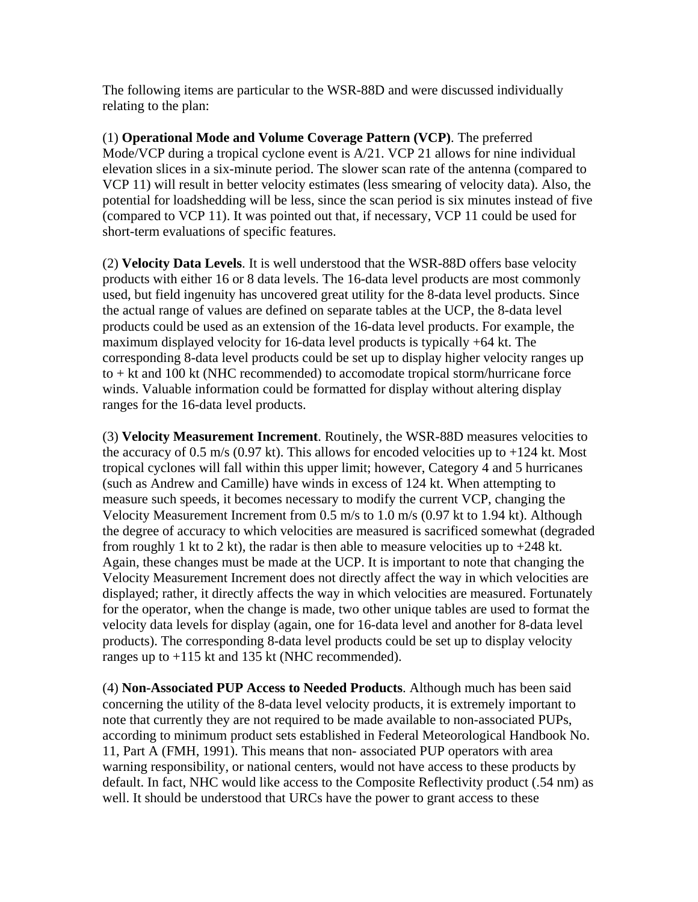The following items are particular to the WSR-88D and were discussed individually relating to the plan:

(1) **Operational Mode and Volume Coverage Pattern (VCP)**. The preferred Mode/VCP during a tropical cyclone event is A/21. VCP 21 allows for nine individual elevation slices in a six-minute period. The slower scan rate of the antenna (compared to VCP 11) will result in better velocity estimates (less smearing of velocity data). Also, the potential for loadshedding will be less, since the scan period is six minutes instead of five (compared to VCP 11). It was pointed out that, if necessary, VCP 11 could be used for short-term evaluations of specific features.

(2) **Velocity Data Levels**. It is well understood that the WSR-88D offers base velocity products with either 16 or 8 data levels. The 16-data level products are most commonly used, but field ingenuity has uncovered great utility for the 8-data level products. Since the actual range of values are defined on separate tables at the UCP, the 8-data level products could be used as an extension of the 16-data level products. For example, the maximum displayed velocity for 16-data level products is typically +64 kt. The corresponding 8-data level products could be set up to display higher velocity ranges up to + kt and 100 kt (NHC recommended) to accomodate tropical storm/hurricane force winds. Valuable information could be formatted for display without altering display ranges for the 16-data level products.

(3) **Velocity Measurement Increment**. Routinely, the WSR-88D measures velocities to the accuracy of 0.5 m/s (0.97 kt). This allows for encoded velocities up to  $+124$  kt. Most tropical cyclones will fall within this upper limit; however, Category 4 and 5 hurricanes (such as Andrew and Camille) have winds in excess of 124 kt. When attempting to measure such speeds, it becomes necessary to modify the current VCP, changing the Velocity Measurement Increment from 0.5 m/s to 1.0 m/s (0.97 kt to 1.94 kt). Although the degree of accuracy to which velocities are measured is sacrificed somewhat (degraded from roughly 1 kt to 2 kt), the radar is then able to measure velocities up to  $+248$  kt. Again, these changes must be made at the UCP. It is important to note that changing the Velocity Measurement Increment does not directly affect the way in which velocities are displayed; rather, it directly affects the way in which velocities are measured. Fortunately for the operator, when the change is made, two other unique tables are used to format the velocity data levels for display (again, one for 16-data level and another for 8-data level products). The corresponding 8-data level products could be set up to display velocity ranges up to +115 kt and 135 kt (NHC recommended).

(4) **Non-Associated PUP Access to Needed Products**. Although much has been said concerning the utility of the 8-data level velocity products, it is extremely important to note that currently they are not required to be made available to non-associated PUPs, according to minimum product sets established in Federal Meteorological Handbook No. 11, Part A (FMH, 1991). This means that non- associated PUP operators with area warning responsibility, or national centers, would not have access to these products by default. In fact, NHC would like access to the Composite Reflectivity product (.54 nm) as well. It should be understood that URCs have the power to grant access to these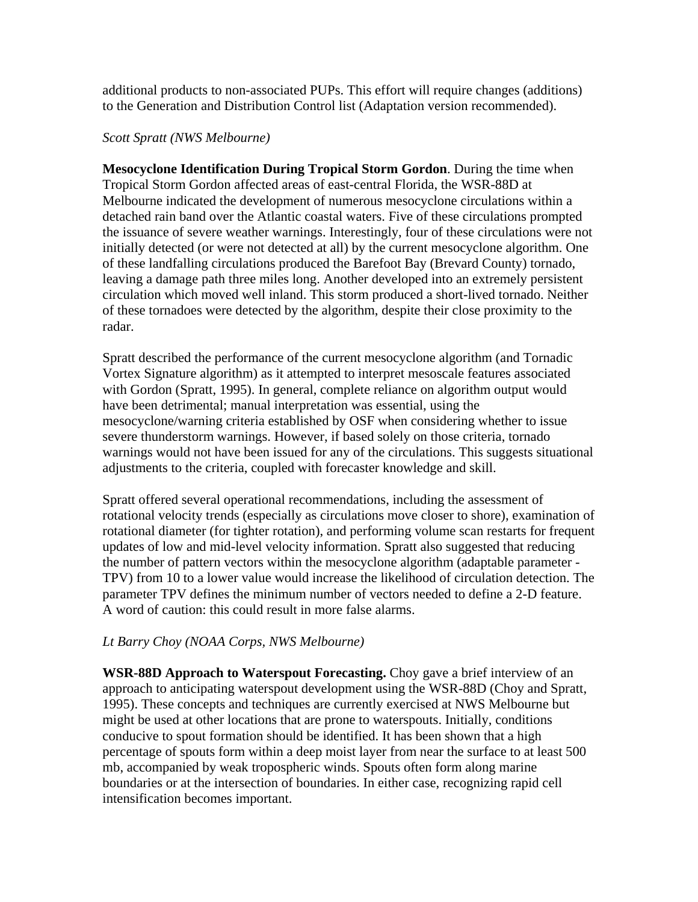additional products to non-associated PUPs. This effort will require changes (additions) to the Generation and Distribution Control list (Adaptation version recommended).

#### *Scott Spratt (NWS Melbourne)*

**Mesocyclone Identification During Tropical Storm Gordon**. During the time when Tropical Storm Gordon affected areas of east-central Florida, the WSR-88D at Melbourne indicated the development of numerous mesocyclone circulations within a detached rain band over the Atlantic coastal waters. Five of these circulations prompted the issuance of severe weather warnings. Interestingly, four of these circulations were not initially detected (or were not detected at all) by the current mesocyclone algorithm. One of these landfalling circulations produced the Barefoot Bay (Brevard County) tornado, leaving a damage path three miles long. Another developed into an extremely persistent circulation which moved well inland. This storm produced a short-lived tornado. Neither of these tornadoes were detected by the algorithm, despite their close proximity to the radar.

Spratt described the performance of the current mesocyclone algorithm (and Tornadic Vortex Signature algorithm) as it attempted to interpret mesoscale features associated with Gordon (Spratt, 1995). In general, complete reliance on algorithm output would have been detrimental; manual interpretation was essential, using the mesocyclone/warning criteria established by OSF when considering whether to issue severe thunderstorm warnings. However, if based solely on those criteria, tornado warnings would not have been issued for any of the circulations. This suggests situational adjustments to the criteria, coupled with forecaster knowledge and skill.

Spratt offered several operational recommendations, including the assessment of rotational velocity trends (especially as circulations move closer to shore), examination of rotational diameter (for tighter rotation), and performing volume scan restarts for frequent updates of low and mid-level velocity information. Spratt also suggested that reducing the number of pattern vectors within the mesocyclone algorithm (adaptable parameter - TPV) from 10 to a lower value would increase the likelihood of circulation detection. The parameter TPV defines the minimum number of vectors needed to define a 2-D feature. A word of caution: this could result in more false alarms.

#### *Lt Barry Choy (NOAA Corps, NWS Melbourne)*

**WSR-88D Approach to Waterspout Forecasting.** Choy gave a brief interview of an approach to anticipating waterspout development using the WSR-88D (Choy and Spratt, 1995). These concepts and techniques are currently exercised at NWS Melbourne but might be used at other locations that are prone to waterspouts. Initially, conditions conducive to spout formation should be identified. It has been shown that a high percentage of spouts form within a deep moist layer from near the surface to at least 500 mb, accompanied by weak tropospheric winds. Spouts often form along marine boundaries or at the intersection of boundaries. In either case, recognizing rapid cell intensification becomes important.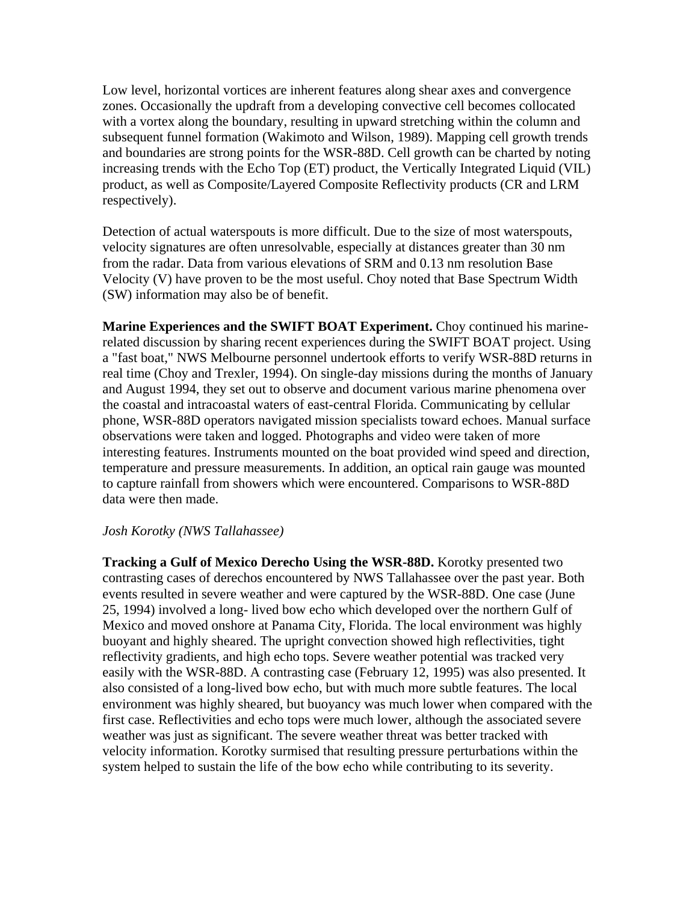Low level, horizontal vortices are inherent features along shear axes and convergence zones. Occasionally the updraft from a developing convective cell becomes collocated with a vortex along the boundary, resulting in upward stretching within the column and subsequent funnel formation (Wakimoto and Wilson, 1989). Mapping cell growth trends and boundaries are strong points for the WSR-88D. Cell growth can be charted by noting increasing trends with the Echo Top (ET) product, the Vertically Integrated Liquid (VIL) product, as well as Composite/Layered Composite Reflectivity products (CR and LRM respectively).

Detection of actual waterspouts is more difficult. Due to the size of most waterspouts, velocity signatures are often unresolvable, especially at distances greater than 30 nm from the radar. Data from various elevations of SRM and 0.13 nm resolution Base Velocity (V) have proven to be the most useful. Choy noted that Base Spectrum Width (SW) information may also be of benefit.

**Marine Experiences and the SWIFT BOAT Experiment.** Choy continued his marinerelated discussion by sharing recent experiences during the SWIFT BOAT project. Using a "fast boat," NWS Melbourne personnel undertook efforts to verify WSR-88D returns in real time (Choy and Trexler, 1994). On single-day missions during the months of January and August 1994, they set out to observe and document various marine phenomena over the coastal and intracoastal waters of east-central Florida. Communicating by cellular phone, WSR-88D operators navigated mission specialists toward echoes. Manual surface observations were taken and logged. Photographs and video were taken of more interesting features. Instruments mounted on the boat provided wind speed and direction, temperature and pressure measurements. In addition, an optical rain gauge was mounted to capture rainfall from showers which were encountered. Comparisons to WSR-88D data were then made.

#### *Josh Korotky (NWS Tallahassee)*

**Tracking a Gulf of Mexico Derecho Using the WSR-88D.** Korotky presented two contrasting cases of derechos encountered by NWS Tallahassee over the past year. Both events resulted in severe weather and were captured by the WSR-88D. One case (June 25, 1994) involved a long- lived bow echo which developed over the northern Gulf of Mexico and moved onshore at Panama City, Florida. The local environment was highly buoyant and highly sheared. The upright convection showed high reflectivities, tight reflectivity gradients, and high echo tops. Severe weather potential was tracked very easily with the WSR-88D. A contrasting case (February 12, 1995) was also presented. It also consisted of a long-lived bow echo, but with much more subtle features. The local environment was highly sheared, but buoyancy was much lower when compared with the first case. Reflectivities and echo tops were much lower, although the associated severe weather was just as significant. The severe weather threat was better tracked with velocity information. Korotky surmised that resulting pressure perturbations within the system helped to sustain the life of the bow echo while contributing to its severity.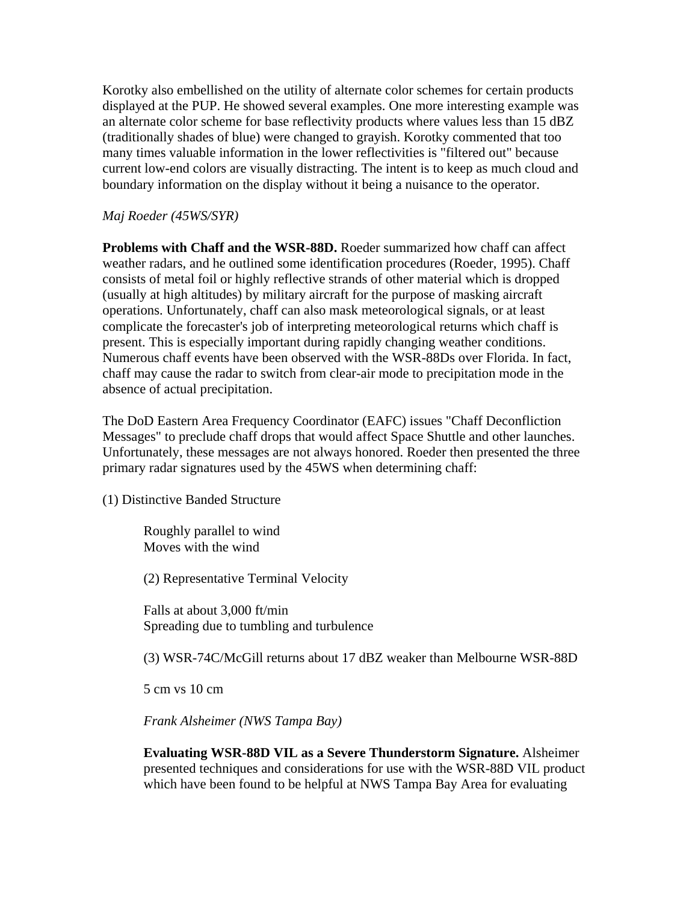Korotky also embellished on the utility of alternate color schemes for certain products displayed at the PUP. He showed several examples. One more interesting example was an alternate color scheme for base reflectivity products where values less than 15 dBZ (traditionally shades of blue) were changed to grayish. Korotky commented that too many times valuable information in the lower reflectivities is "filtered out" because current low-end colors are visually distracting. The intent is to keep as much cloud and boundary information on the display without it being a nuisance to the operator.

*Maj Roeder (45WS/SYR)*

**Problems with Chaff and the WSR-88D.** Roeder summarized how chaff can affect weather radars, and he outlined some identification procedures (Roeder, 1995). Chaff consists of metal foil or highly reflective strands of other material which is dropped (usually at high altitudes) by military aircraft for the purpose of masking aircraft operations. Unfortunately, chaff can also mask meteorological signals, or at least complicate the forecaster's job of interpreting meteorological returns which chaff is present. This is especially important during rapidly changing weather conditions. Numerous chaff events have been observed with the WSR-88Ds over Florida. In fact, chaff may cause the radar to switch from clear-air mode to precipitation mode in the absence of actual precipitation.

The DoD Eastern Area Frequency Coordinator (EAFC) issues "Chaff Deconfliction Messages" to preclude chaff drops that would affect Space Shuttle and other launches. Unfortunately, these messages are not always honored. Roeder then presented the three primary radar signatures used by the 45WS when determining chaff:

(1) Distinctive Banded Structure

Roughly parallel to wind Moves with the wind

(2) Representative Terminal Velocity

Falls at about 3,000 ft/min Spreading due to tumbling and turbulence

(3) WSR-74C/McGill returns about 17 dBZ weaker than Melbourne WSR-88D

5 cm vs 10 cm

*Frank Alsheimer (NWS Tampa Bay)*

**Evaluating WSR-88D VIL as a Severe Thunderstorm Signature.** Alsheimer presented techniques and considerations for use with the WSR-88D VIL product which have been found to be helpful at NWS Tampa Bay Area for evaluating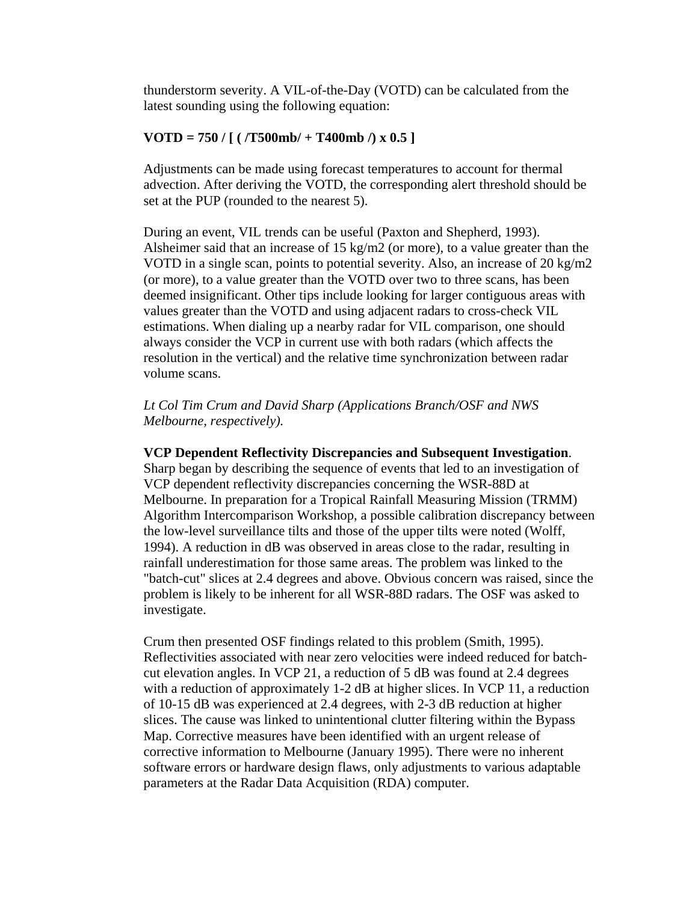thunderstorm severity. A VIL-of-the-Day (VOTD) can be calculated from the latest sounding using the following equation:

#### **VOTD = 750 / [ ( /T500mb/ + T400mb /) x 0.5 ]**

Adjustments can be made using forecast temperatures to account for thermal advection. After deriving the VOTD, the corresponding alert threshold should be set at the PUP (rounded to the nearest 5).

During an event, VIL trends can be useful (Paxton and Shepherd, 1993). Alsheimer said that an increase of  $15 \text{ kg/m2}$  (or more), to a value greater than the VOTD in a single scan, points to potential severity. Also, an increase of 20 kg/m2 (or more), to a value greater than the VOTD over two to three scans, has been deemed insignificant. Other tips include looking for larger contiguous areas with values greater than the VOTD and using adjacent radars to cross-check VIL estimations. When dialing up a nearby radar for VIL comparison, one should always consider the VCP in current use with both radars (which affects the resolution in the vertical) and the relative time synchronization between radar volume scans.

#### *Lt Col Tim Crum and David Sharp (Applications Branch/OSF and NWS Melbourne, respectively).*

#### **VCP Dependent Reflectivity Discrepancies and Subsequent Investigation**.

Sharp began by describing the sequence of events that led to an investigation of VCP dependent reflectivity discrepancies concerning the WSR-88D at Melbourne. In preparation for a Tropical Rainfall Measuring Mission (TRMM) Algorithm Intercomparison Workshop, a possible calibration discrepancy between the low-level surveillance tilts and those of the upper tilts were noted (Wolff, 1994). A reduction in dB was observed in areas close to the radar, resulting in rainfall underestimation for those same areas. The problem was linked to the "batch-cut" slices at 2.4 degrees and above. Obvious concern was raised, since the problem is likely to be inherent for all WSR-88D radars. The OSF was asked to investigate.

Crum then presented OSF findings related to this problem (Smith, 1995). Reflectivities associated with near zero velocities were indeed reduced for batchcut elevation angles. In VCP 21, a reduction of 5 dB was found at 2.4 degrees with a reduction of approximately 1-2 dB at higher slices. In VCP 11, a reduction of 10-15 dB was experienced at 2.4 degrees, with 2-3 dB reduction at higher slices. The cause was linked to unintentional clutter filtering within the Bypass Map. Corrective measures have been identified with an urgent release of corrective information to Melbourne (January 1995). There were no inherent software errors or hardware design flaws, only adjustments to various adaptable parameters at the Radar Data Acquisition (RDA) computer.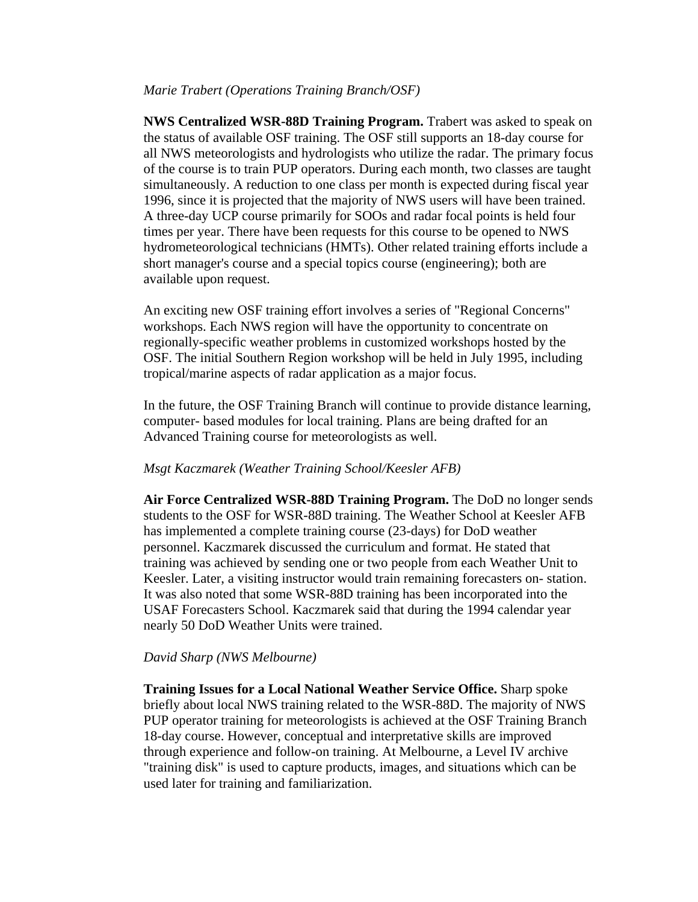#### *Marie Trabert (Operations Training Branch/OSF)*

**NWS Centralized WSR-88D Training Program.** Trabert was asked to speak on the status of available OSF training. The OSF still supports an 18-day course for all NWS meteorologists and hydrologists who utilize the radar. The primary focus of the course is to train PUP operators. During each month, two classes are taught simultaneously. A reduction to one class per month is expected during fiscal year 1996, since it is projected that the majority of NWS users will have been trained. A three-day UCP course primarily for SOOs and radar focal points is held four times per year. There have been requests for this course to be opened to NWS hydrometeorological technicians (HMTs). Other related training efforts include a short manager's course and a special topics course (engineering); both are available upon request.

An exciting new OSF training effort involves a series of "Regional Concerns" workshops. Each NWS region will have the opportunity to concentrate on regionally-specific weather problems in customized workshops hosted by the OSF. The initial Southern Region workshop will be held in July 1995, including tropical/marine aspects of radar application as a major focus.

In the future, the OSF Training Branch will continue to provide distance learning, computer- based modules for local training. Plans are being drafted for an Advanced Training course for meteorologists as well.

#### *Msgt Kaczmarek (Weather Training School/Keesler AFB)*

**Air Force Centralized WSR-88D Training Program.** The DoD no longer sends students to the OSF for WSR-88D training. The Weather School at Keesler AFB has implemented a complete training course (23-days) for DoD weather personnel. Kaczmarek discussed the curriculum and format. He stated that training was achieved by sending one or two people from each Weather Unit to Keesler. Later, a visiting instructor would train remaining forecasters on- station. It was also noted that some WSR-88D training has been incorporated into the USAF Forecasters School. Kaczmarek said that during the 1994 calendar year nearly 50 DoD Weather Units were trained.

#### *David Sharp (NWS Melbourne)*

**Training Issues for a Local National Weather Service Office.** Sharp spoke briefly about local NWS training related to the WSR-88D. The majority of NWS PUP operator training for meteorologists is achieved at the OSF Training Branch 18-day course. However, conceptual and interpretative skills are improved through experience and follow-on training. At Melbourne, a Level IV archive "training disk" is used to capture products, images, and situations which can be used later for training and familiarization.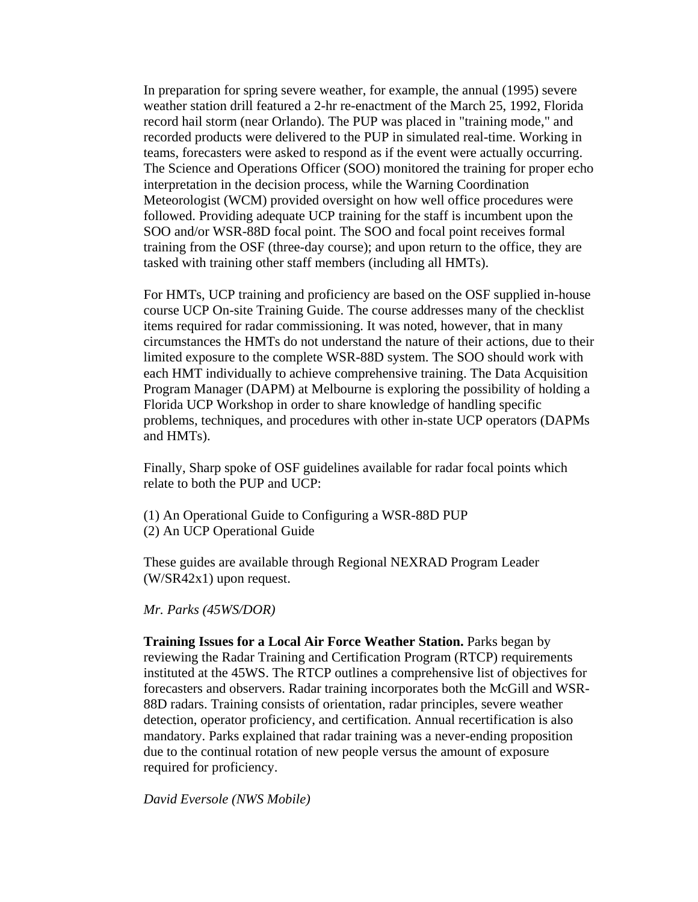In preparation for spring severe weather, for example, the annual (1995) severe weather station drill featured a 2-hr re-enactment of the March 25, 1992, Florida record hail storm (near Orlando). The PUP was placed in "training mode," and recorded products were delivered to the PUP in simulated real-time. Working in teams, forecasters were asked to respond as if the event were actually occurring. The Science and Operations Officer (SOO) monitored the training for proper echo interpretation in the decision process, while the Warning Coordination Meteorologist (WCM) provided oversight on how well office procedures were followed. Providing adequate UCP training for the staff is incumbent upon the SOO and/or WSR-88D focal point. The SOO and focal point receives formal training from the OSF (three-day course); and upon return to the office, they are tasked with training other staff members (including all HMTs).

For HMTs, UCP training and proficiency are based on the OSF supplied in-house course UCP On-site Training Guide. The course addresses many of the checklist items required for radar commissioning. It was noted, however, that in many circumstances the HMTs do not understand the nature of their actions, due to their limited exposure to the complete WSR-88D system. The SOO should work with each HMT individually to achieve comprehensive training. The Data Acquisition Program Manager (DAPM) at Melbourne is exploring the possibility of holding a Florida UCP Workshop in order to share knowledge of handling specific problems, techniques, and procedures with other in-state UCP operators (DAPMs and HMTs).

Finally, Sharp spoke of OSF guidelines available for radar focal points which relate to both the PUP and UCP:

(1) An Operational Guide to Configuring a WSR-88D PUP (2) An UCP Operational Guide

These guides are available through Regional NEXRAD Program Leader (W/SR42x1) upon request.

*Mr. Parks (45WS/DOR)*

**Training Issues for a Local Air Force Weather Station.** Parks began by reviewing the Radar Training and Certification Program (RTCP) requirements instituted at the 45WS. The RTCP outlines a comprehensive list of objectives for forecasters and observers. Radar training incorporates both the McGill and WSR-88D radars. Training consists of orientation, radar principles, severe weather detection, operator proficiency, and certification. Annual recertification is also mandatory. Parks explained that radar training was a never-ending proposition due to the continual rotation of new people versus the amount of exposure required for proficiency.

*David Eversole (NWS Mobile)*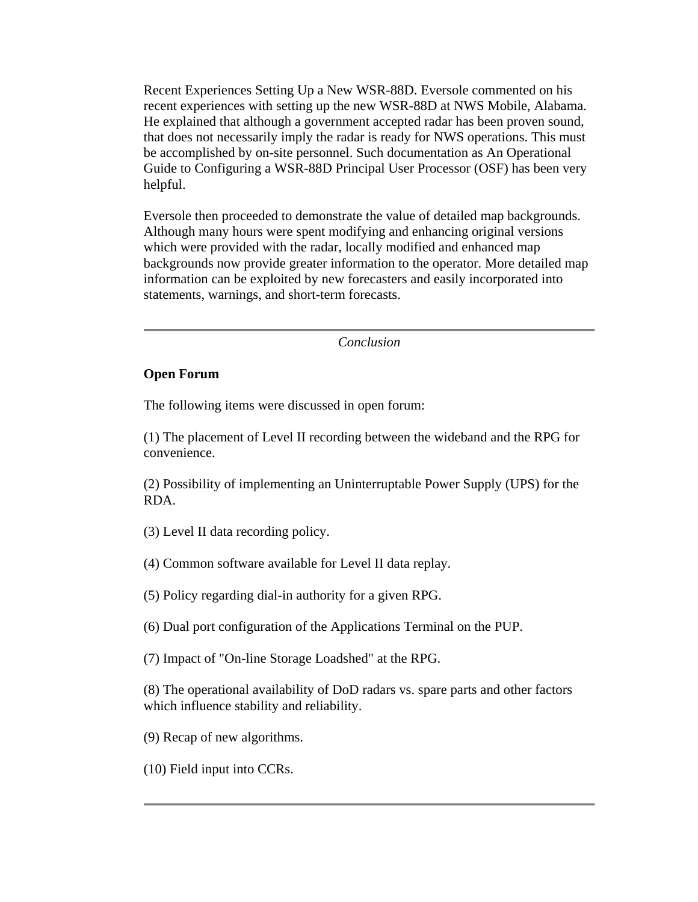Recent Experiences Setting Up a New WSR-88D. Eversole commented on his recent experiences with setting up the new WSR-88D at NWS Mobile, Alabama. He explained that although a government accepted radar has been proven sound, that does not necessarily imply the radar is ready for NWS operations. This must be accomplished by on-site personnel. Such documentation as An Operational Guide to Configuring a WSR-88D Principal User Processor (OSF) has been very helpful.

Eversole then proceeded to demonstrate the value of detailed map backgrounds. Although many hours were spent modifying and enhancing original versions which were provided with the radar, locally modified and enhanced map backgrounds now provide greater information to the operator. More detailed map information can be exploited by new forecasters and easily incorporated into statements, warnings, and short-term forecasts.

*Conclusion*

#### **Open Forum**

The following items were discussed in open forum:

(1) The placement of Level II recording between the wideband and the RPG for convenience.

(2) Possibility of implementing an Uninterruptable Power Supply (UPS) for the RDA.

(3) Level II data recording policy.

(4) Common software available for Level II data replay.

(5) Policy regarding dial-in authority for a given RPG.

(6) Dual port configuration of the Applications Terminal on the PUP.

(7) Impact of "On-line Storage Loadshed" at the RPG.

(8) The operational availability of DoD radars vs. spare parts and other factors which influence stability and reliability.

(9) Recap of new algorithms.

(10) Field input into CCRs.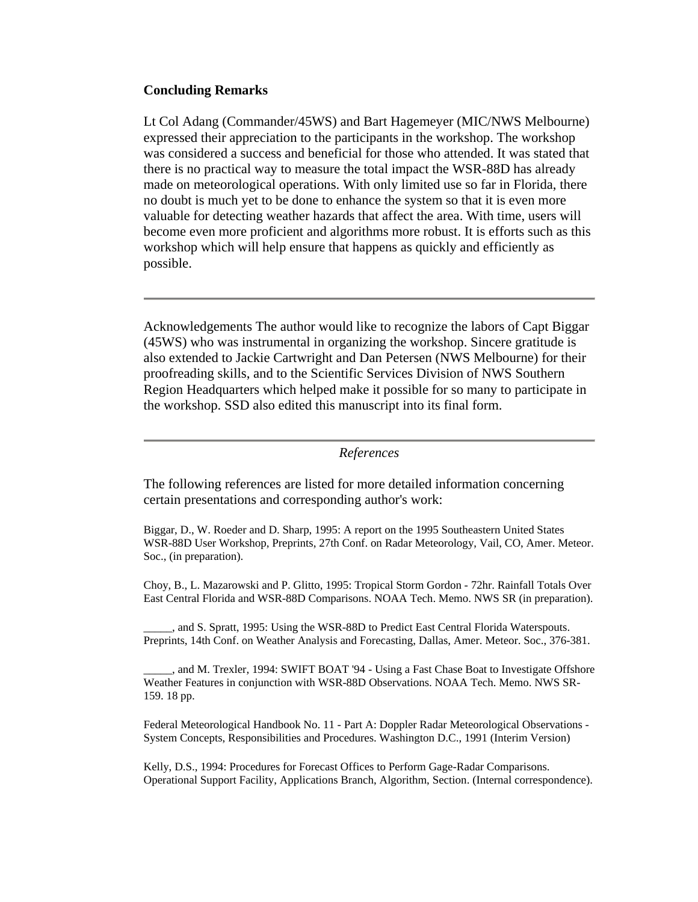#### **Concluding Remarks**

Lt Col Adang (Commander/45WS) and Bart Hagemeyer (MIC/NWS Melbourne) expressed their appreciation to the participants in the workshop. The workshop was considered a success and beneficial for those who attended. It was stated that there is no practical way to measure the total impact the WSR-88D has already made on meteorological operations. With only limited use so far in Florida, there no doubt is much yet to be done to enhance the system so that it is even more valuable for detecting weather hazards that affect the area. With time, users will become even more proficient and algorithms more robust. It is efforts such as this workshop which will help ensure that happens as quickly and efficiently as possible.

Acknowledgements The author would like to recognize the labors of Capt Biggar (45WS) who was instrumental in organizing the workshop. Sincere gratitude is also extended to Jackie Cartwright and Dan Petersen (NWS Melbourne) for their proofreading skills, and to the Scientific Services Division of NWS Southern Region Headquarters which helped make it possible for so many to participate in the workshop. SSD also edited this manuscript into its final form.

#### *References*

The following references are listed for more detailed information concerning certain presentations and corresponding author's work:

Biggar, D., W. Roeder and D. Sharp, 1995: A report on the 1995 Southeastern United States WSR-88D User Workshop, Preprints, 27th Conf. on Radar Meteorology, Vail, CO, Amer. Meteor. Soc., (in preparation).

Choy, B., L. Mazarowski and P. Glitto, 1995: Tropical Storm Gordon - 72hr. Rainfall Totals Over East Central Florida and WSR-88D Comparisons. NOAA Tech. Memo. NWS SR (in preparation).

\_\_\_\_\_, and S. Spratt, 1995: Using the WSR-88D to Predict East Central Florida Waterspouts. Preprints, 14th Conf. on Weather Analysis and Forecasting, Dallas, Amer. Meteor. Soc., 376-381.

\_\_\_\_\_, and M. Trexler, 1994: SWIFT BOAT '94 - Using a Fast Chase Boat to Investigate Offshore Weather Features in conjunction with WSR-88D Observations. NOAA Tech. Memo. NWS SR-159. 18 pp.

Federal Meteorological Handbook No. 11 - Part A: Doppler Radar Meteorological Observations - System Concepts, Responsibilities and Procedures. Washington D.C., 1991 (Interim Version)

Kelly, D.S., 1994: Procedures for Forecast Offices to Perform Gage-Radar Comparisons. Operational Support Facility, Applications Branch, Algorithm, Section. (Internal correspondence).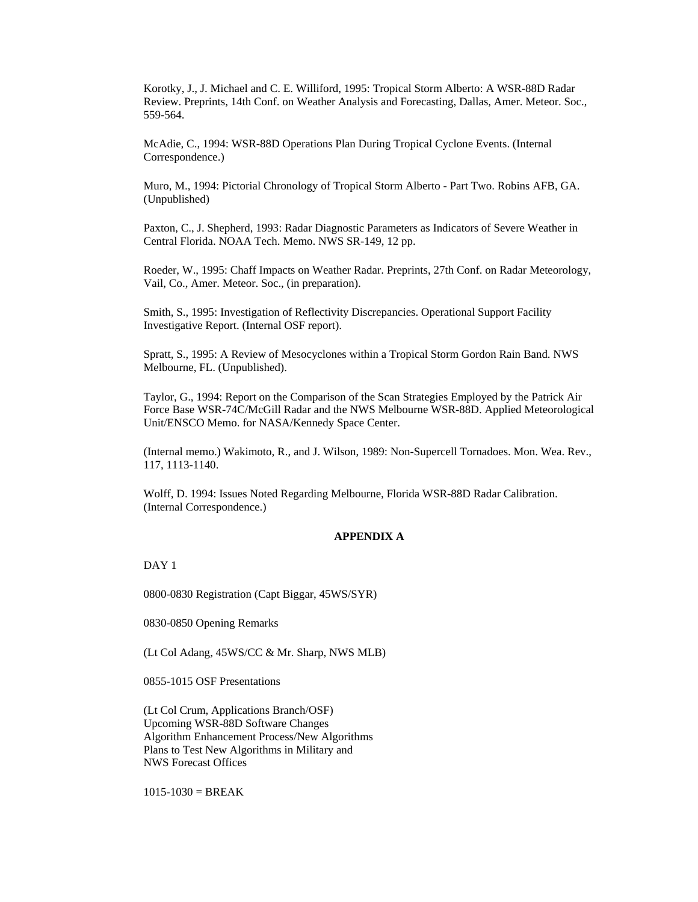Korotky, J., J. Michael and C. E. Williford, 1995: Tropical Storm Alberto: A WSR-88D Radar Review. Preprints, 14th Conf. on Weather Analysis and Forecasting, Dallas, Amer. Meteor. Soc., 559-564.

McAdie, C., 1994: WSR-88D Operations Plan During Tropical Cyclone Events. (Internal Correspondence.)

Muro, M., 1994: Pictorial Chronology of Tropical Storm Alberto - Part Two. Robins AFB, GA. (Unpublished)

Paxton, C., J. Shepherd, 1993: Radar Diagnostic Parameters as Indicators of Severe Weather in Central Florida. NOAA Tech. Memo. NWS SR-149, 12 pp.

Roeder, W., 1995: Chaff Impacts on Weather Radar. Preprints, 27th Conf. on Radar Meteorology, Vail, Co., Amer. Meteor. Soc., (in preparation).

Smith, S., 1995: Investigation of Reflectivity Discrepancies. Operational Support Facility Investigative Report. (Internal OSF report).

Spratt, S., 1995: A Review of Mesocyclones within a Tropical Storm Gordon Rain Band. NWS Melbourne, FL. (Unpublished).

Taylor, G., 1994: Report on the Comparison of the Scan Strategies Employed by the Patrick Air Force Base WSR-74C/McGill Radar and the NWS Melbourne WSR-88D. Applied Meteorological Unit/ENSCO Memo. for NASA/Kennedy Space Center.

(Internal memo.) Wakimoto, R., and J. Wilson, 1989: Non-Supercell Tornadoes. Mon. Wea. Rev., 117, 1113-1140.

Wolff, D. 1994: Issues Noted Regarding Melbourne, Florida WSR-88D Radar Calibration. (Internal Correspondence.)

#### **APPENDIX A**

DAY 1

0800-0830 Registration (Capt Biggar, 45WS/SYR)

0830-0850 Opening Remarks

(Lt Col Adang, 45WS/CC & Mr. Sharp, NWS MLB)

0855-1015 OSF Presentations

(Lt Col Crum, Applications Branch/OSF) Upcoming WSR-88D Software Changes Algorithm Enhancement Process/New Algorithms Plans to Test New Algorithms in Military and NWS Forecast Offices

 $1015 - 1030 = BREAK$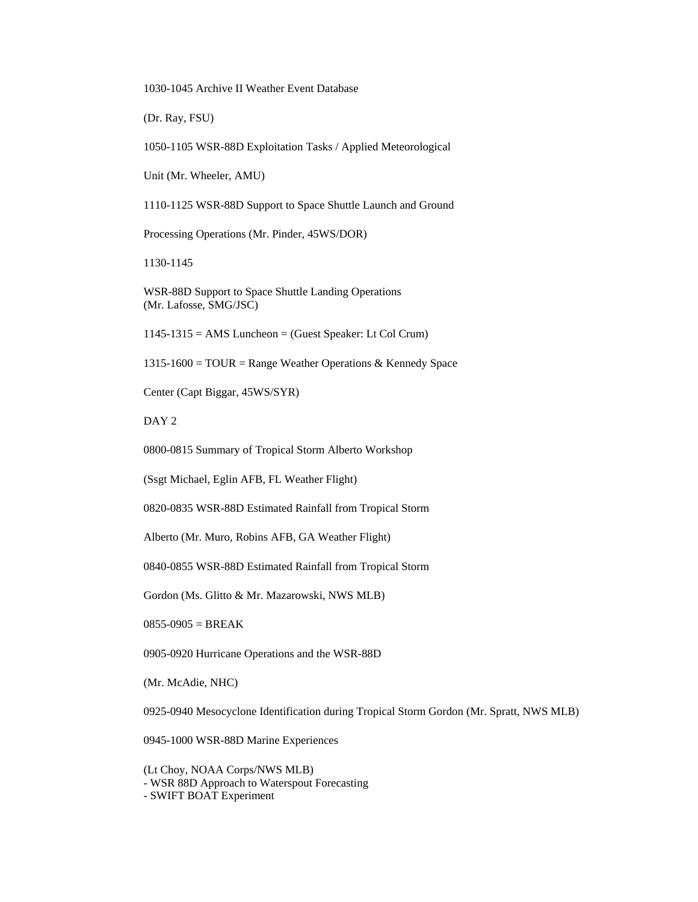1030-1045 Archive II Weather Event Database

(Dr. Ray, FSU)

1050-1105 WSR-88D Exploitation Tasks / Applied Meteorological

Unit (Mr. Wheeler, AMU)

1110-1125 WSR-88D Support to Space Shuttle Launch and Ground

Processing Operations (Mr. Pinder, 45WS/DOR)

1130-1145

WSR-88D Support to Space Shuttle Landing Operations (Mr. Lafosse, SMG/JSC)

1145-1315 = AMS Luncheon = (Guest Speaker: Lt Col Crum)

1315-1600 = TOUR = Range Weather Operations & Kennedy Space

Center (Capt Biggar, 45WS/SYR)

DAY 2

0800-0815 Summary of Tropical Storm Alberto Workshop

(Ssgt Michael, Eglin AFB, FL Weather Flight)

0820-0835 WSR-88D Estimated Rainfall from Tropical Storm

Alberto (Mr. Muro, Robins AFB, GA Weather Flight)

0840-0855 WSR-88D Estimated Rainfall from Tropical Storm

Gordon (Ms. Glitto & Mr. Mazarowski, NWS MLB)

 $0855-0905 = BREAK$ 

0905-0920 Hurricane Operations and the WSR-88D

(Mr. McAdie, NHC)

0925-0940 Mesocyclone Identification during Tropical Storm Gordon (Mr. Spratt, NWS MLB)

0945-1000 WSR-88D Marine Experiences

(Lt Choy, NOAA Corps/NWS MLB) - WSR 88D Approach to Waterspout Forecasting - SWIFT BOAT Experiment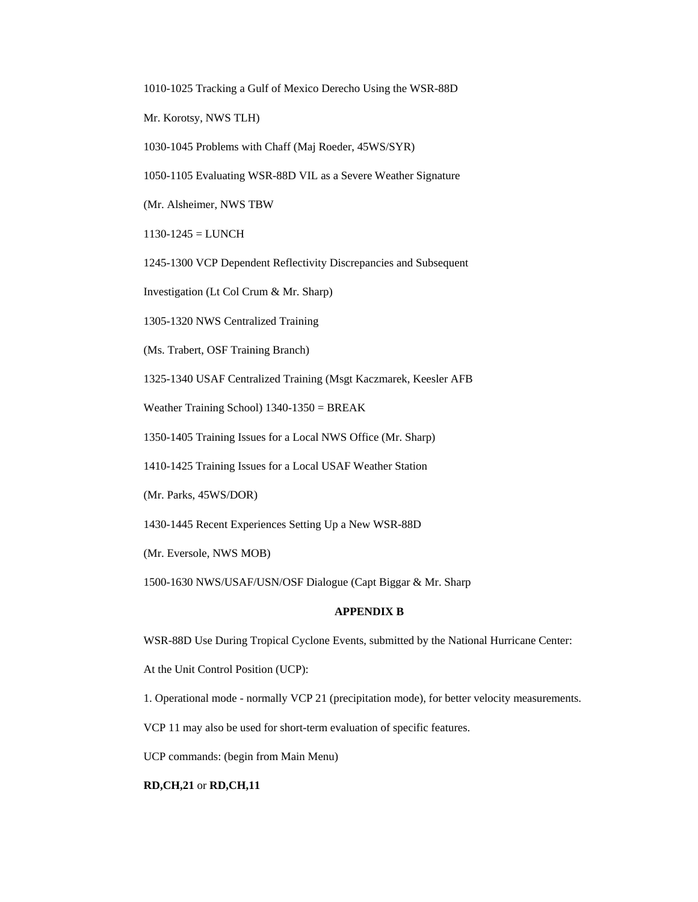1010-1025 Tracking a Gulf of Mexico Derecho Using the WSR-88D

Mr. Korotsy, NWS TLH)

1030-1045 Problems with Chaff (Maj Roeder, 45WS/SYR)

1050-1105 Evaluating WSR-88D VIL as a Severe Weather Signature

(Mr. Alsheimer, NWS TBW

 $1130-1245 = LUNCH$ 

1245-1300 VCP Dependent Reflectivity Discrepancies and Subsequent

Investigation (Lt Col Crum & Mr. Sharp)

1305-1320 NWS Centralized Training

(Ms. Trabert, OSF Training Branch)

1325-1340 USAF Centralized Training (Msgt Kaczmarek, Keesler AFB

Weather Training School) 1340-1350 = BREAK

1350-1405 Training Issues for a Local NWS Office (Mr. Sharp)

1410-1425 Training Issues for a Local USAF Weather Station

(Mr. Parks, 45WS/DOR)

1430-1445 Recent Experiences Setting Up a New WSR-88D

(Mr. Eversole, NWS MOB)

1500-1630 NWS/USAF/USN/OSF Dialogue (Capt Biggar & Mr. Sharp

#### **APPENDIX B**

WSR-88D Use During Tropical Cyclone Events, submitted by the National Hurricane Center:

At the Unit Control Position (UCP):

1. Operational mode - normally VCP 21 (precipitation mode), for better velocity measurements.

VCP 11 may also be used for short-term evaluation of specific features.

UCP commands: (begin from Main Menu)

#### **RD,CH,21** or **RD,CH,11**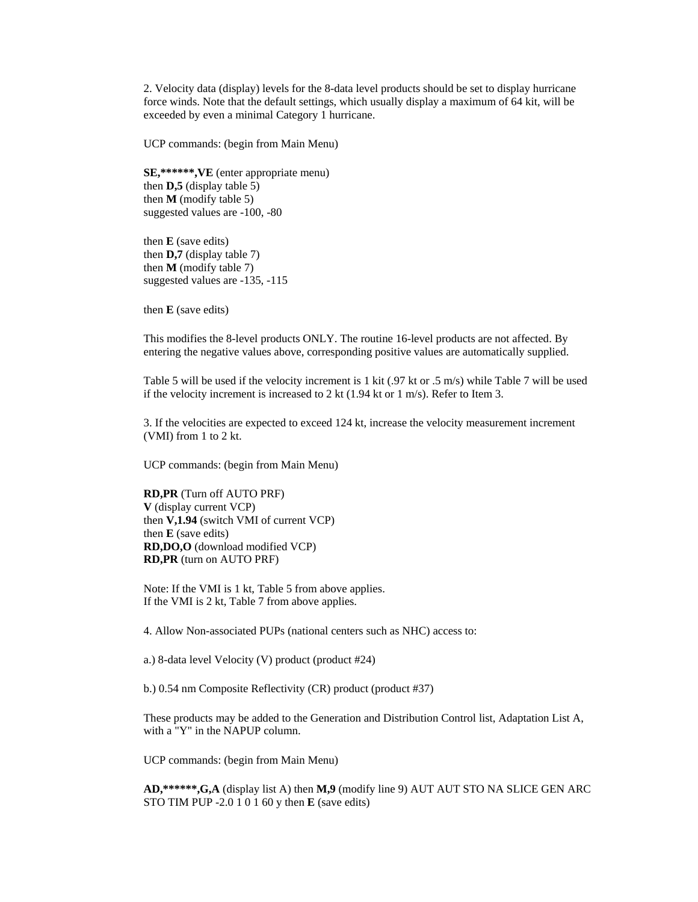2. Velocity data (display) levels for the 8-data level products should be set to display hurricane force winds. Note that the default settings, which usually display a maximum of 64 kit, will be exceeded by even a minimal Category 1 hurricane.

UCP commands: (begin from Main Menu)

**SE,\*\*\*\*\*\*,VE** (enter appropriate menu) then **D,5** (display table 5) then **M** (modify table 5) suggested values are -100, -80

then **E** (save edits) then **D,7** (display table 7) then  $M$  (modify table 7) suggested values are -135, -115

then **E** (save edits)

This modifies the 8-level products ONLY. The routine 16-level products are not affected. By entering the negative values above, corresponding positive values are automatically supplied.

Table 5 will be used if the velocity increment is 1 kit (.97 kt or .5 m/s) while Table 7 will be used if the velocity increment is increased to 2 kt (1.94 kt or 1 m/s). Refer to Item 3.

3. If the velocities are expected to exceed 124 kt, increase the velocity measurement increment (VMI) from 1 to 2 kt.

UCP commands: (begin from Main Menu)

**RD,PR** (Turn off AUTO PRF) **V** (display current VCP) then **V,1.94** (switch VMI of current VCP) then **E** (save edits) **RD,DO,O** (download modified VCP) **RD,PR** (turn on AUTO PRF)

Note: If the VMI is 1 kt, Table 5 from above applies. If the VMI is 2 kt, Table 7 from above applies.

4. Allow Non-associated PUPs (national centers such as NHC) access to:

a.) 8-data level Velocity (V) product (product #24)

b.) 0.54 nm Composite Reflectivity (CR) product (product #37)

These products may be added to the Generation and Distribution Control list, Adaptation List A, with a "Y" in the NAPUP column.

UCP commands: (begin from Main Menu)

**AD,\*\*\*\*\*\*,G,A** (display list A) then **M,9** (modify line 9) AUT AUT STO NA SLICE GEN ARC STO TIM PUP -2.0 1 0 1 60 y then **E** (save edits)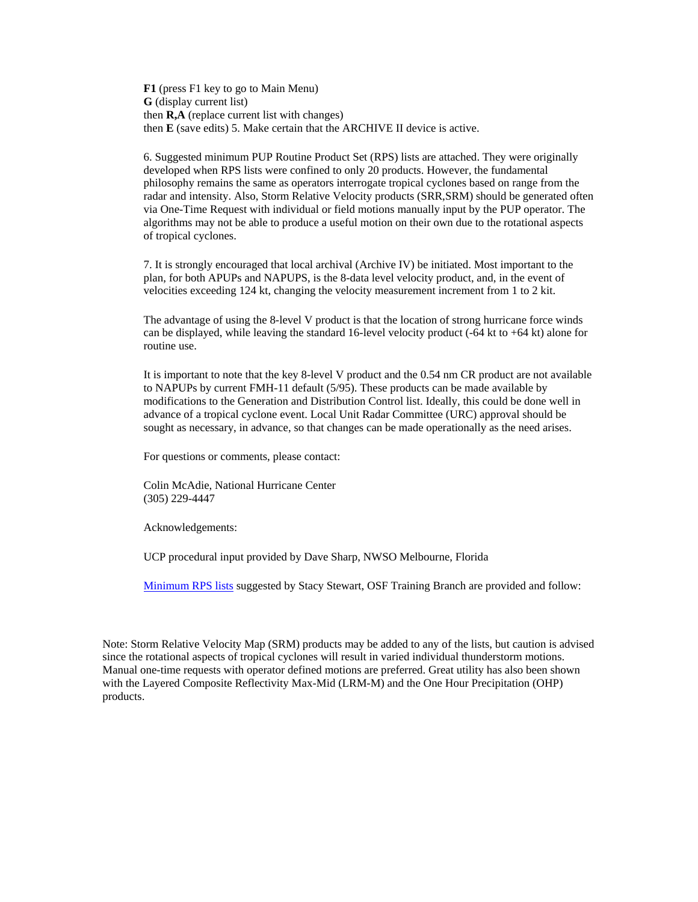**F1** (press F1 key to go to Main Menu) **G** (display current list) then **R,A** (replace current list with changes) then **E** (save edits) 5. Make certain that the ARCHIVE II device is active.

6. Suggested minimum PUP Routine Product Set (RPS) lists are attached. They were originally developed when RPS lists were confined to only 20 products. However, the fundamental philosophy remains the same as operators interrogate tropical cyclones based on range from the radar and intensity. Also, Storm Relative Velocity products (SRR,SRM) should be generated often via One-Time Request with individual or field motions manually input by the PUP operator. The algorithms may not be able to produce a useful motion on their own due to the rotational aspects of tropical cyclones.

7. It is strongly encouraged that local archival (Archive IV) be initiated. Most important to the plan, for both APUPs and NAPUPS, is the 8-data level velocity product, and, in the event of velocities exceeding 124 kt, changing the velocity measurement increment from 1 to 2 kit.

The advantage of using the 8-level V product is that the location of strong hurricane force winds can be displayed, while leaving the standard 16-level velocity product  $(-64 \text{ kt to } +64 \text{ kt})$  alone for routine use.

It is important to note that the key 8-level V product and the 0.54 nm CR product are not available to NAPUPs by current FMH-11 default (5/95). These products can be made available by modifications to the Generation and Distribution Control list. Ideally, this could be done well in advance of a tropical cyclone event. Local Unit Radar Committee (URC) approval should be sought as necessary, in advance, so that changes can be made operationally as the need arises.

For questions or comments, please contact:

Colin McAdie, National Hurricane Center (305) 229-4447

Acknowledgements:

UCP procedural input provided by Dave Sharp, NWSO Melbourne, Florida

Minimum RPS lists suggested by Stacy Stewart, OSF Training Branch are provided and follow:

Note: Storm Relative Velocity Map (SRM) products may be added to any of the lists, but caution is advised since the rotational aspects of tropical cyclones will result in varied individual thunderstorm motions. Manual one-time requests with operator defined motions are preferred. Great utility has also been shown with the Layered Composite Reflectivity Max-Mid (LRM-M) and the One Hour Precipitation (OHP) products.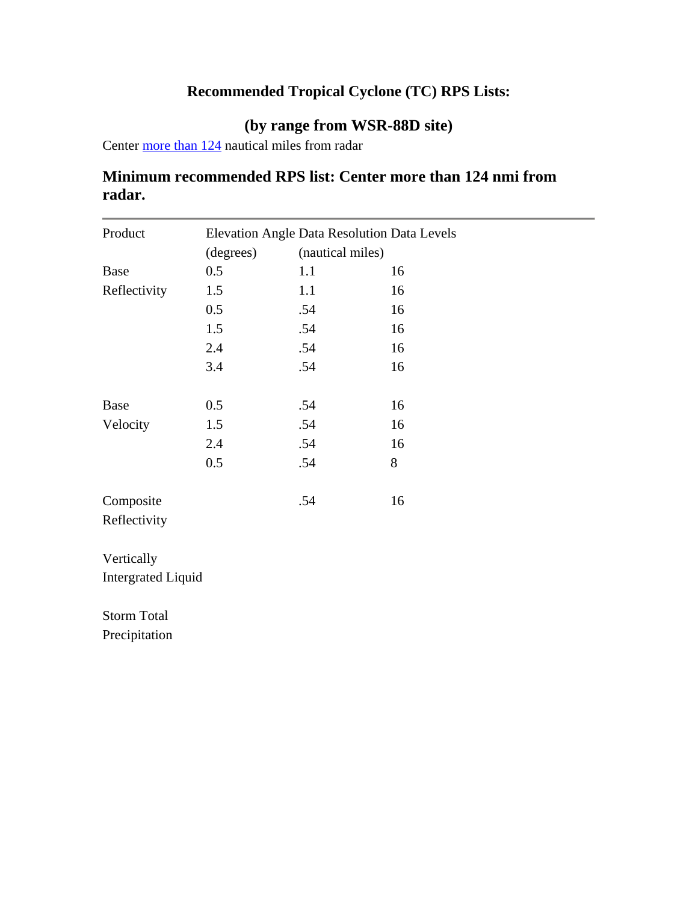# **Recommended Tropical Cyclone (TC) RPS Lists:**

### **(by range from WSR-88D site)**

Center more than 124 nautical miles from radar

## **Minimum recommended RPS list: Center more than 124 nmi from radar.**

| Product                   | <b>Elevation Angle Data Resolution Data Levels</b> |                  |    |  |
|---------------------------|----------------------------------------------------|------------------|----|--|
|                           | (degrees)                                          | (nautical miles) |    |  |
| <b>Base</b>               | 0.5                                                | 1.1              | 16 |  |
| Reflectivity              | 1.5                                                | 1.1              | 16 |  |
|                           | 0.5                                                | .54              | 16 |  |
|                           | 1.5                                                | .54              | 16 |  |
|                           | 2.4                                                | .54              | 16 |  |
|                           | 3.4                                                | .54              | 16 |  |
| <b>Base</b>               | 0.5                                                | .54              | 16 |  |
| Velocity                  | 1.5                                                | .54              | 16 |  |
|                           | 2.4                                                | .54              | 16 |  |
|                           | 0.5                                                | .54              | 8  |  |
| Composite                 |                                                    | .54              | 16 |  |
| Reflectivity              |                                                    |                  |    |  |
| Vertically                |                                                    |                  |    |  |
| <b>Intergrated Liquid</b> |                                                    |                  |    |  |

Storm Total

Precipitation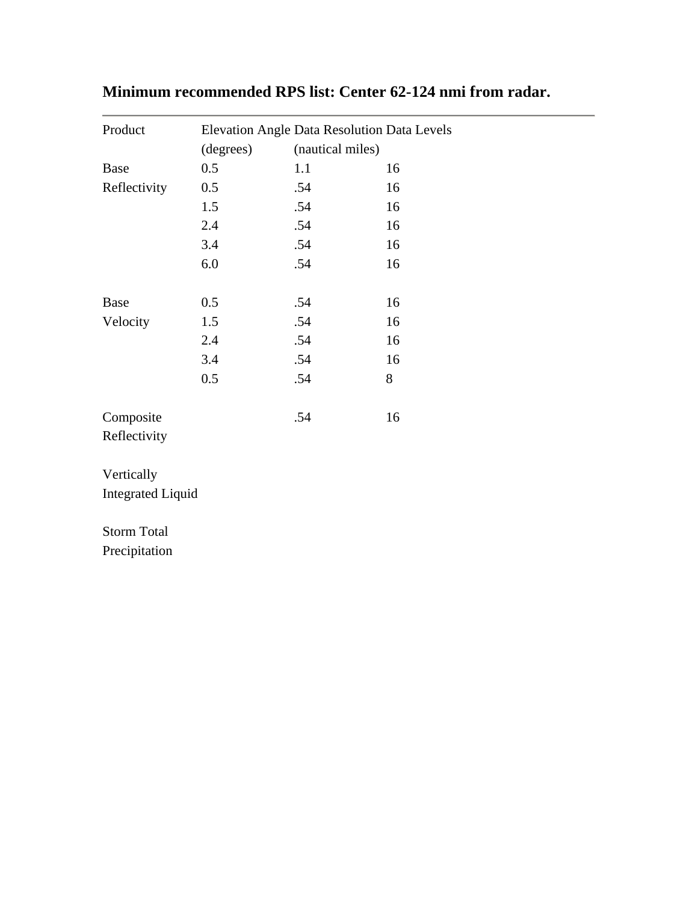| Elevation Angle Data Resolution Data Levels |     |                  |
|---------------------------------------------|-----|------------------|
| (degrees)                                   |     |                  |
| 0.5                                         | 1.1 | 16               |
| 0.5                                         | .54 | 16               |
| 1.5                                         | .54 | 16               |
| 2.4                                         | .54 | 16               |
| 3.4                                         | .54 | 16               |
| 6.0                                         | .54 | 16               |
| 0.5                                         | .54 | 16               |
| 1.5                                         | .54 | 16               |
| 2.4                                         | .54 | 16               |
| 3.4                                         | .54 | 16               |
| 0.5                                         | .54 | 8                |
|                                             | .54 | 16               |
|                                             |     |                  |
|                                             |     |                  |
| <b>Integrated Liquid</b>                    |     |                  |
|                                             |     |                  |
|                                             |     |                  |
|                                             |     | (nautical miles) |

# **Minimum recommended RPS list: Center 62-124 nmi from radar.**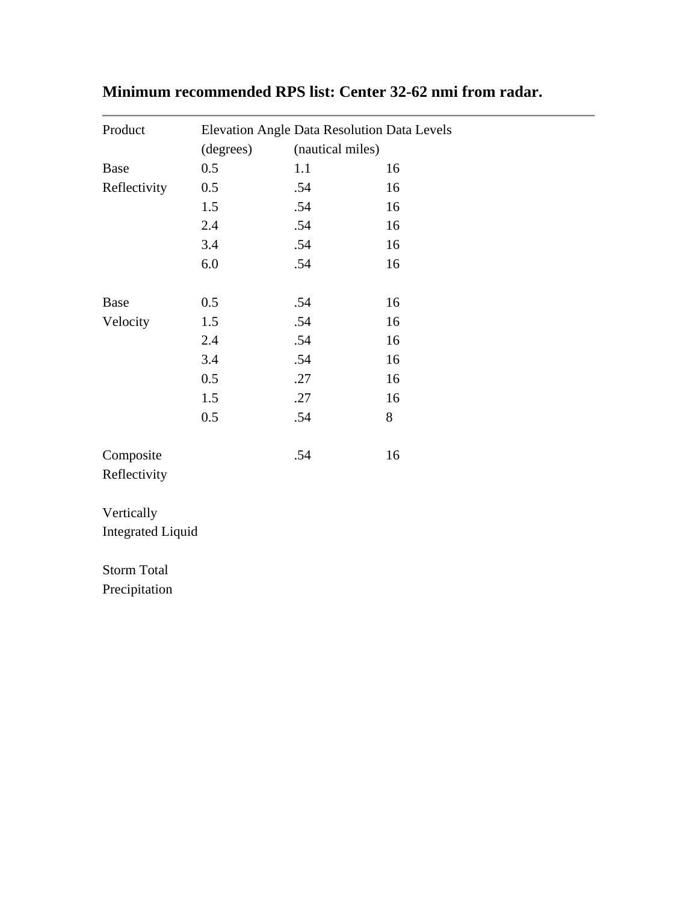| Product                  | Elevation Angle Data Resolution Data Levels |                  |    |
|--------------------------|---------------------------------------------|------------------|----|
|                          | (degrees)                                   | (nautical miles) |    |
| <b>Base</b>              | 0.5                                         | 1.1              | 16 |
| Reflectivity             | 0.5                                         | .54              | 16 |
|                          | 1.5                                         | .54              | 16 |
|                          | 2.4                                         | .54              | 16 |
|                          | 3.4                                         | .54              | 16 |
|                          | 6.0                                         | .54              | 16 |
|                          |                                             |                  |    |
| <b>Base</b>              | 0.5                                         | .54              | 16 |
| Velocity                 | 1.5                                         | .54              | 16 |
|                          | 2.4                                         | .54              | 16 |
|                          | 3.4                                         | .54              | 16 |
|                          | 0.5                                         | .27              | 16 |
|                          | 1.5                                         | .27              | 16 |
|                          | 0.5                                         | .54              | 8  |
| Composite                |                                             | .54              | 16 |
| Reflectivity             |                                             |                  |    |
| Vertically               |                                             |                  |    |
| <b>Integrated Liquid</b> |                                             |                  |    |
| <b>Storm Total</b>       |                                             |                  |    |
| Precipitation            |                                             |                  |    |

# **Minimum recommended RPS list: Center 32-62 nmi from radar.**